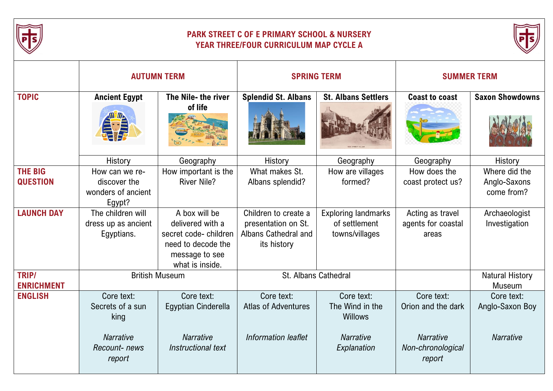

## **PARK STREET C OF E PRIMARY SCHOOL & NURSERY YEAR THREE/FOUR CURRICULUM MAP CYCLE A**



|                                   | <b>AUTUMN TERM</b>                                             |                                                                                                                      | <b>SPRING TERM</b>                                                                 |                                                               | <b>SUMMER TERM</b>                              |                                             |
|-----------------------------------|----------------------------------------------------------------|----------------------------------------------------------------------------------------------------------------------|------------------------------------------------------------------------------------|---------------------------------------------------------------|-------------------------------------------------|---------------------------------------------|
| <b>TOPIC</b>                      | <b>Ancient Egypt</b>                                           | The Nile- the river<br>of life                                                                                       | <b>Splendid St. Albans</b>                                                         | <b>St. Albans Settlers</b>                                    | <b>Coast to coast</b>                           | <b>Saxon Showdowns</b>                      |
|                                   | History                                                        | Geography                                                                                                            | History                                                                            | Geography                                                     | Geography                                       | History                                     |
| <b>THE BIG</b><br><b>QUESTION</b> | How can we re-<br>discover the<br>wonders of ancient<br>Egypt? | How important is the<br><b>River Nile?</b>                                                                           | What makes St.<br>Albans splendid?                                                 | How are villages<br>formed?                                   | How does the<br>coast protect us?               | Where did the<br>Anglo-Saxons<br>come from? |
| <b>LAUNCH DAY</b>                 | The children will<br>dress up as ancient<br>Egyptians.         | A box will be<br>delivered with a<br>secret code-children<br>need to decode the<br>message to see<br>what is inside. | Children to create a<br>presentation on St.<br>Albans Cathedral and<br>its history | <b>Exploring landmarks</b><br>of settlement<br>towns/villages | Acting as travel<br>agents for coastal<br>areas | Archaeologist<br>Investigation              |
| TRIP/<br><b>ENRICHMENT</b>        | <b>British Museum</b>                                          |                                                                                                                      | <b>St. Albans Cathedral</b>                                                        |                                                               |                                                 | <b>Natural History</b><br>Museum            |
| <b>ENGLISH</b>                    | Core text:<br>Secrets of a sun<br>king                         | Core text:<br>Egyptian Cinderella                                                                                    | Core text:<br><b>Atlas of Adventures</b>                                           | Core text:<br>The Wind in the<br><b>Willows</b>               | Core text:<br>Orion and the dark                | Core text:<br>Anglo-Saxon Boy               |
|                                   | <b>Narrative</b><br>Recount-news<br>report                     | <b>Narrative</b><br>Instructional text                                                                               | Information leaflet                                                                | <b>Narrative</b><br>Explanation                               | <b>Narrative</b><br>Non-chronological<br>report | <b>Narrative</b>                            |